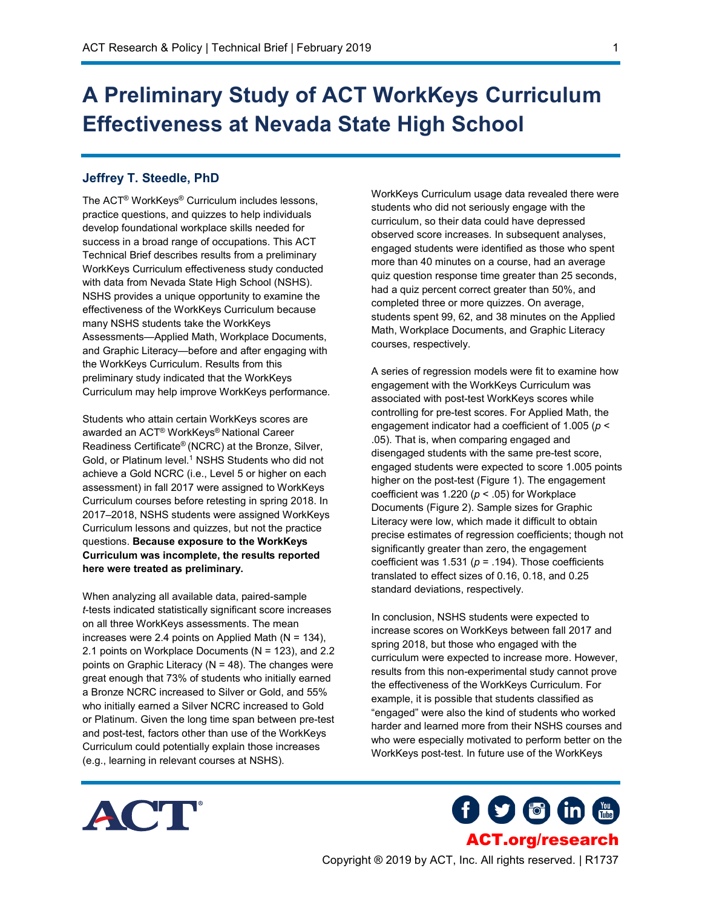## **A Preliminary Study of ACT WorkKeys Curriculum Effectiveness at Nevada State High School**

## **Jeffrey T. Steedle, PhD**

The ACT® WorkKeys® Curriculum includes lessons, practice questions, and quizzes to help individuals develop foundational workplace skills needed for success in a broad range of occupations. This ACT Technical Brief describes results from a preliminary WorkKeys Curriculum effectiveness study conducted with data from Nevada State High School (NSHS). NSHS provides a unique opportunity to examine the effectiveness of the WorkKeys Curriculum because many NSHS students take the WorkKeys Assessments—Applied Math, Workplace Documents, and Graphic Literacy—before and after engaging with the WorkKeys Curriculum. Results from this preliminary study indicated that the WorkKeys Curriculum may help improve WorkKeys performance.

Students who attain certain WorkKeys scores are awarded an ACT® WorkKeys® National Career Readiness Certificate® (NCRC) at the Bronze, Silver, Gold, or Platinum level.<sup>1</sup> NSHS Students who did not achieve a Gold NCRC (i.e., Level 5 or higher on each assessment) in fall 2017 were assigned to WorkKeys Curriculum courses before retesting in spring 2018. In 2017–2018, NSHS students were assigned WorkKeys Curriculum lessons and quizzes, but not the practice questions. **Because exposure to the WorkKeys Curriculum was incomplete, the results reported here were treated as preliminary.**

When analyzing all available data, paired-sample *t*-tests indicated statistically significant score increases on all three WorkKeys assessments. The mean increases were 2.4 points on Applied Math ( $N = 134$ ), 2.1 points on Workplace Documents (N = 123), and 2.2 points on Graphic Literacy (N = 48). The changes were great enough that 73% of students who initially earned a Bronze NCRC increased to Silver or Gold, and 55% who initially earned a Silver NCRC increased to Gold or Platinum. Given the long time span between pre-test and post-test, factors other than use of the WorkKeys Curriculum could potentially explain those increases (e.g., learning in relevant courses at NSHS).

WorkKeys Curriculum usage data revealed there were students who did not seriously engage with the curriculum, so their data could have depressed observed score increases. In subsequent analyses, engaged students were identified as those who spent more than 40 minutes on a course, had an average quiz question response time greater than 25 seconds, had a quiz percent correct greater than 50%, and completed three or more quizzes. On average, students spent 99, 62, and 38 minutes on the Applied Math, Workplace Documents, and Graphic Literacy courses, respectively.

A series of regression models were fit to examine how engagement with the WorkKeys Curriculum was associated with post-test WorkKeys scores while controlling for pre-test scores. For Applied Math, the engagement indicator had a coefficient of 1.005 (*p* < .05). That is, when comparing engaged and disengaged students with the same pre-test score, engaged students were expected to score 1.005 points higher on the post-test (Figure 1). The engagement coefficient was 1.220 (*p* < .05) for Workplace Documents (Figure 2). Sample sizes for Graphic Literacy were low, which made it difficult to obtain precise estimates of regression coefficients; though not significantly greater than zero, the engagement coefficient was  $1.531$  ( $p = .194$ ). Those coefficients translated to effect sizes of 0.16, 0.18, and 0.25 standard deviations, respectively.

In conclusion, NSHS students were expected to increase scores on WorkKeys between fall 2017 and spring 2018, but those who engaged with the curriculum were expected to increase more. However, results from this non-experimental study cannot prove the effectiveness of the WorkKeys Curriculum. For example, it is possible that students classified as "engaged" were also the kind of students who worked harder and learned more from their NSHS courses and who were especially motivated to perform better on the WorkKeys post-test. In future use of the WorkKeys



**f 9 6 in 1** [ACT.org/research](www.act.org/research)

1

Copyright ® 2019 by ACT, Inc. All rights reserved. | R1737